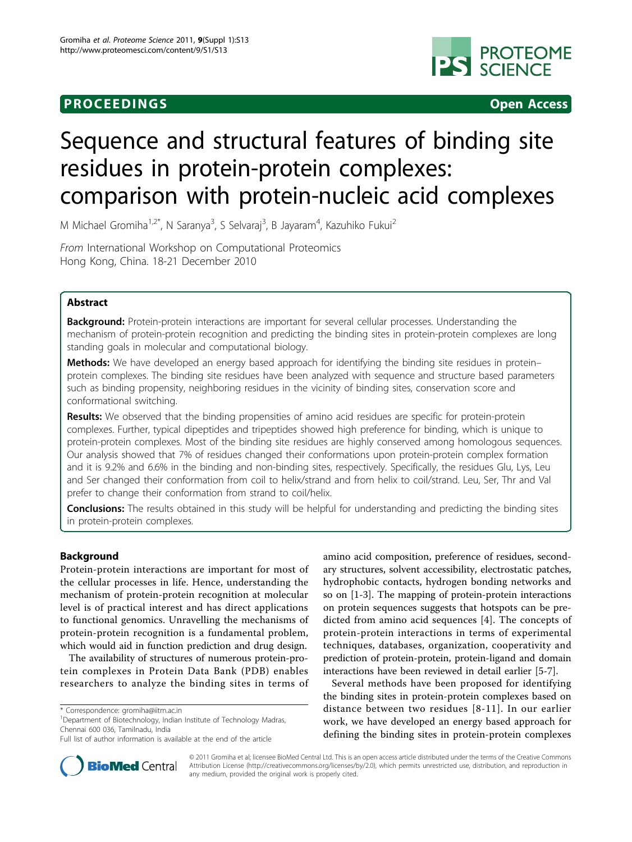# **PROCEEDINGS CONSIDERING SECOND CONSIDERING SECOND CONSIDERING SECOND SECOND SECOND SECOND SECOND SECOND SECOND SECOND SECOND SECOND SECOND SECOND SECOND SECOND SECOND SECOND SECOND SECOND SECOND SECOND SECOND SECOND SEC**



# Sequence and structural features of binding site residues in protein-protein complexes: comparison with protein-nucleic acid complexes

M Michael Gromiha<sup>1,2\*</sup>, N Saranya<sup>3</sup>, S Selvaraj<sup>3</sup>, B Jayaram<sup>4</sup>, Kazuhiko Fukui<sup>2</sup>

From International Workshop on Computational Proteomics Hong Kong, China. 18-21 December 2010

# Abstract

Background: Protein-protein interactions are important for several cellular processes. Understanding the mechanism of protein-protein recognition and predicting the binding sites in protein-protein complexes are long standing goals in molecular and computational biology.

Methods: We have developed an energy based approach for identifying the binding site residues in proteinprotein complexes. The binding site residues have been analyzed with sequence and structure based parameters such as binding propensity, neighboring residues in the vicinity of binding sites, conservation score and conformational switching.

Results: We observed that the binding propensities of amino acid residues are specific for protein-protein complexes. Further, typical dipeptides and tripeptides showed high preference for binding, which is unique to protein-protein complexes. Most of the binding site residues are highly conserved among homologous sequences. Our analysis showed that 7% of residues changed their conformations upon protein-protein complex formation and it is 9.2% and 6.6% in the binding and non-binding sites, respectively. Specifically, the residues Glu, Lys, Leu and Ser changed their conformation from coil to helix/strand and from helix to coil/strand. Leu, Ser, Thr and Val prefer to change their conformation from strand to coil/helix.

Conclusions: The results obtained in this study will be helpful for understanding and predicting the binding sites in protein-protein complexes.

# Background

Protein-protein interactions are important for most of the cellular processes in life. Hence, understanding the mechanism of protein-protein recognition at molecular level is of practical interest and has direct applications to functional genomics. Unravelling the mechanisms of protein-protein recognition is a fundamental problem, which would aid in function prediction and drug design.

The availability of structures of numerous protein-protein complexes in Protein Data Bank (PDB) enables researchers to analyze the binding sites in terms of amino acid composition, preference of residues, secondary structures, solvent accessibility, electrostatic patches, hydrophobic contacts, hydrogen bonding networks and so on [[1-3](#page-5-0)]. The mapping of protein-protein interactions on protein sequences suggests that hotspots can be predicted from amino acid sequences [\[4](#page-5-0)]. The concepts of protein-protein interactions in terms of experimental techniques, databases, organization, cooperativity and prediction of protein-protein, protein-ligand and domain interactions have been reviewed in detail earlier [[5-7\]](#page-5-0).

Several methods have been proposed for identifying the binding sites in protein-protein complexes based on distance between two residues [[8-11\]](#page-5-0). In our earlier work, we have developed an energy based approach for defining the binding sites in protein-protein complexes



© 2011 Gromiha et al; licensee BioMed Central Ltd. This is an open access article distributed under the terms of the Creative Commons Attribution License [\(http://creativecommons.org/licenses/by/2.0](http://creativecommons.org/licenses/by/2.0)), which permits unrestricted use, distribution, and reproduction in any medium, provided the original work is properly cited.

<sup>\*</sup> Correspondence: [gromiha@iitm.ac.in](mailto:gromiha@iitm.ac.in)

<sup>&</sup>lt;sup>1</sup>Department of Biotechnology, Indian Institute of Technology Madras, Chennai 600 036, Tamilnadu, India

Full list of author information is available at the end of the article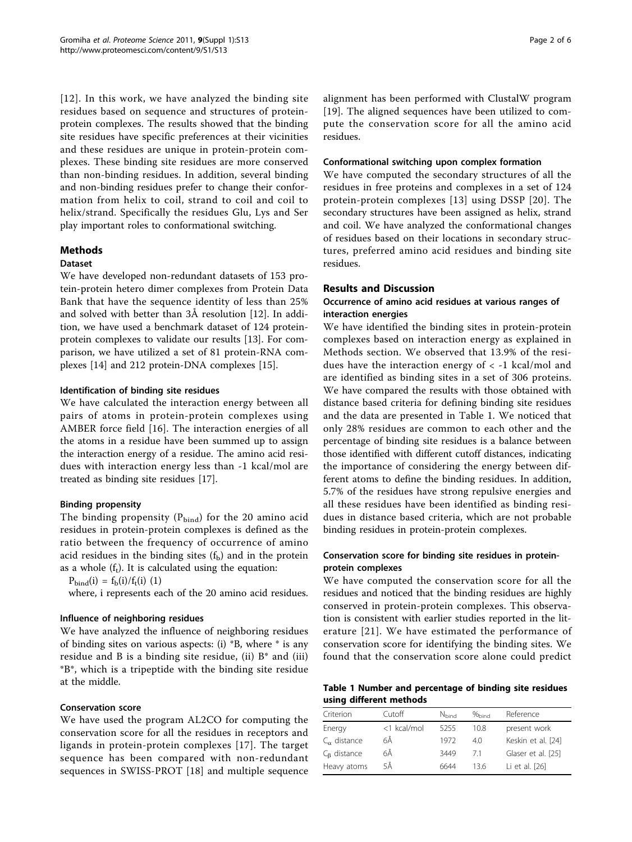[[12\]](#page-5-0). In this work, we have analyzed the binding site residues based on sequence and structures of proteinprotein complexes. The results showed that the binding site residues have specific preferences at their vicinities and these residues are unique in protein-protein complexes. These binding site residues are more conserved than non-binding residues. In addition, several binding and non-binding residues prefer to change their conformation from helix to coil, strand to coil and coil to helix/strand. Specifically the residues Glu, Lys and Ser play important roles to conformational switching.

# Methods

#### Dataset

We have developed non-redundant datasets of 153 protein-protein hetero dimer complexes from Protein Data Bank that have the sequence identity of less than 25% and solved with better than 3Å resolution [[12](#page-5-0)]. In addition, we have used a benchmark dataset of 124 proteinprotein complexes to validate our results [\[13](#page-5-0)]. For comparison, we have utilized a set of 81 protein-RNA complexes [\[14\]](#page-5-0) and 212 protein-DNA complexes [\[15\]](#page-5-0).

# Identification of binding site residues

We have calculated the interaction energy between all pairs of atoms in protein-protein complexes using AMBER force field [\[16](#page-5-0)]. The interaction energies of all the atoms in a residue have been summed up to assign the interaction energy of a residue. The amino acid residues with interaction energy less than -1 kcal/mol are treated as binding site residues [\[17\]](#page-5-0).

# Binding propensity

The binding propensity  $(P_{bind})$  for the 20 amino acid residues in protein-protein complexes is defined as the ratio between the frequency of occurrence of amino acid residues in the binding sites  $(f_b)$  and in the protein as a whole  $(f_t)$ . It is calculated using the equation:

 $P_{bind}(i) = f_b(i)/f_t(i)$  (1)

where, i represents each of the 20 amino acid residues.

#### Influence of neighboring residues

We have analyzed the influence of neighboring residues of binding sites on various aspects: (i) \*B, where \* is any residue and B is a binding site residue, (ii)  $B^*$  and (iii) \*B\*, which is a tripeptide with the binding site residue at the middle.

# Conservation score

We have used the program AL2CO for computing the conservation score for all the residues in receptors and ligands in protein-protein complexes [\[17\]](#page-5-0). The target sequence has been compared with non-redundant sequences in SWISS-PROT [[18\]](#page-5-0) and multiple sequence alignment has been performed with ClustalW program [[19](#page-5-0)]. The aligned sequences have been utilized to compute the conservation score for all the amino acid residues.

### Conformational switching upon complex formation

We have computed the secondary structures of all the residues in free proteins and complexes in a set of 124 protein-protein complexes [[13\]](#page-5-0) using DSSP [[20](#page-5-0)]. The secondary structures have been assigned as helix, strand and coil. We have analyzed the conformational changes of residues based on their locations in secondary structures, preferred amino acid residues and binding site residues.

# Results and Discussion

# Occurrence of amino acid residues at various ranges of interaction energies

We have identified the binding sites in protein-protein complexes based on interaction energy as explained in Methods section. We observed that 13.9% of the residues have the interaction energy of  $\langle$  -1 kcal/mol and are identified as binding sites in a set of 306 proteins. We have compared the results with those obtained with distance based criteria for defining binding site residues and the data are presented in Table 1. We noticed that only 28% residues are common to each other and the percentage of binding site residues is a balance between those identified with different cutoff distances, indicating the importance of considering the energy between different atoms to define the binding residues. In addition, 5.7% of the residues have strong repulsive energies and all these residues have been identified as binding residues in distance based criteria, which are not probable binding residues in protein-protein complexes.

# Conservation score for binding site residues in proteinprotein complexes

We have computed the conservation score for all the residues and noticed that the binding residues are highly conserved in protein-protein complexes. This observation is consistent with earlier studies reported in the literature [[21](#page-5-0)]. We have estimated the performance of conservation score for identifying the binding sites. We found that the conservation score alone could predict

Table 1 Number and percentage of binding site residues using different methods

| Criterion             | Cutoff      | N <sub>hind</sub> | $\%$ hind | Reference          |
|-----------------------|-------------|-------------------|-----------|--------------------|
| Energy                | <1 kcal/mol | 5255              | 10.8      | present work       |
| $C_{\alpha}$ distance | 6Å          | 1972              | 40        | Keskin et al. [24] |
| $C_{\rm B}$ distance  | 6Å          | 3449              | 71        | Glaser et al. [25] |
| Heavy atoms           | 5Å          | 6644              | 136       | Li et al. [26]     |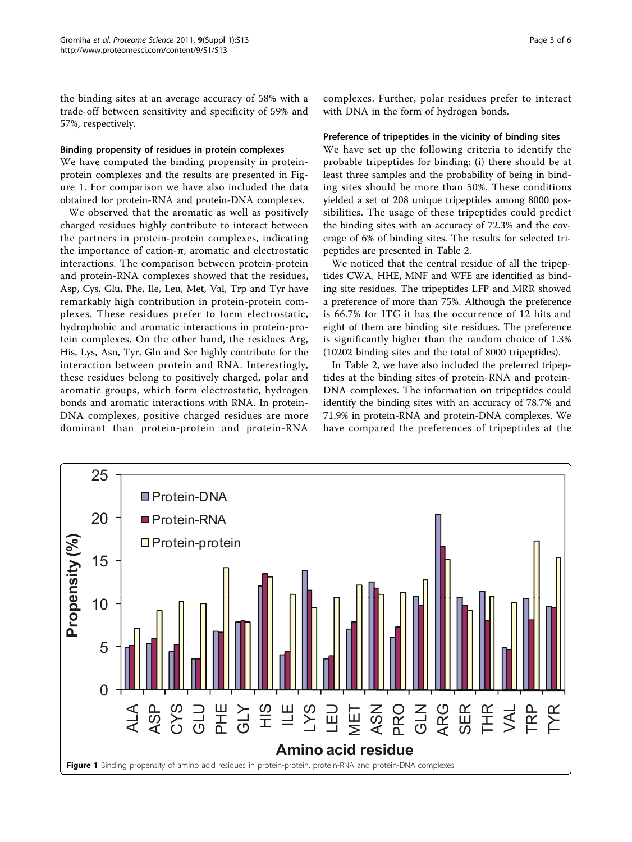the binding sites at an average accuracy of 58% with a trade-off between sensitivity and specificity of 59% and 57%, respectively.

#### Binding propensity of residues in protein complexes

We have computed the binding propensity in proteinprotein complexes and the results are presented in Figure 1. For comparison we have also included the data obtained for protein-RNA and protein-DNA complexes.

We observed that the aromatic as well as positively charged residues highly contribute to interact between the partners in protein-protein complexes, indicating the importance of cation-π, aromatic and electrostatic interactions. The comparison between protein-protein and protein-RNA complexes showed that the residues, Asp, Cys, Glu, Phe, Ile, Leu, Met, Val, Trp and Tyr have remarkably high contribution in protein-protein complexes. These residues prefer to form electrostatic, hydrophobic and aromatic interactions in protein-protein complexes. On the other hand, the residues Arg, His, Lys, Asn, Tyr, Gln and Ser highly contribute for the interaction between protein and RNA. Interestingly, these residues belong to positively charged, polar and aromatic groups, which form electrostatic, hydrogen bonds and aromatic interactions with RNA. In protein-DNA complexes, positive charged residues are more dominant than protein-protein and protein-RNA

complexes. Further, polar residues prefer to interact with DNA in the form of hydrogen bonds.

#### Preference of tripeptides in the vicinity of binding sites

We have set up the following criteria to identify the probable tripeptides for binding: (i) there should be at least three samples and the probability of being in binding sites should be more than 50%. These conditions yielded a set of 208 unique tripeptides among 8000 possibilities. The usage of these tripeptides could predict the binding sites with an accuracy of 72.3% and the coverage of 6% of binding sites. The results for selected tripeptides are presented in Table [2](#page-3-0).

We noticed that the central residue of all the tripeptides CWA, HHE, MNF and WFE are identified as binding site residues. The tripeptides LFP and MRR showed a preference of more than 75%. Although the preference is 66.7% for ITG it has the occurrence of 12 hits and eight of them are binding site residues. The preference is significantly higher than the random choice of 1.3% (10202 binding sites and the total of 8000 tripeptides).

In Table [2,](#page-3-0) we have also included the preferred tripeptides at the binding sites of protein-RNA and protein-DNA complexes. The information on tripeptides could identify the binding sites with an accuracy of 78.7% and 71.9% in protein-RNA and protein-DNA complexes. We have compared the preferences of tripeptides at the

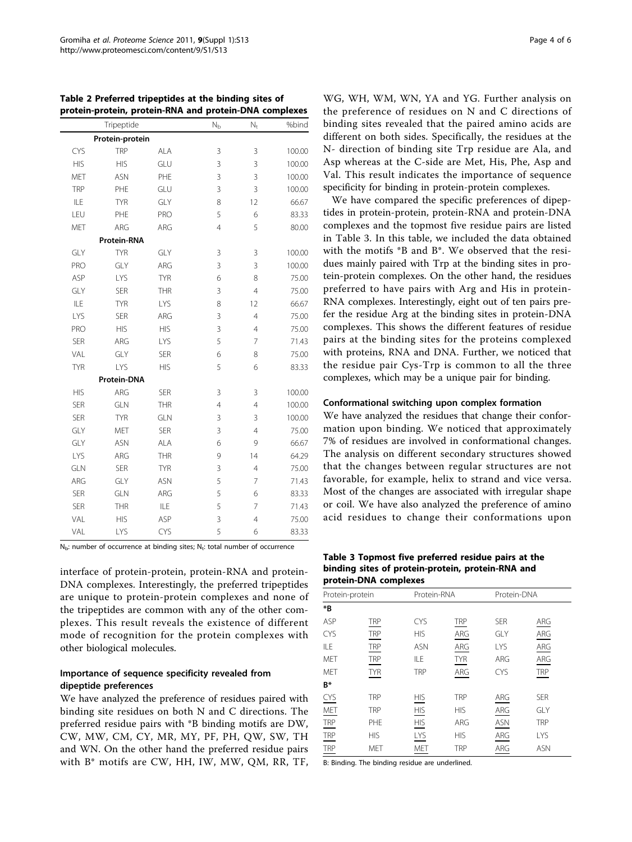|            |                 |            |                |                | rrotein-protein, protein-kiva and protein-Diva complexes |
|------------|-----------------|------------|----------------|----------------|----------------------------------------------------------|
|            | Tripeptide      |            | $N_{b}$        | $N_{t}$        | %bind                                                    |
|            | Protein-protein |            |                |                |                                                          |
| <b>CYS</b> | <b>TRP</b>      | <b>ALA</b> | 3              | 3              | 100.00                                                   |
| <b>HIS</b> | <b>HIS</b>      | GLU        | 3              | 3              | 100.00                                                   |
| MET        | <b>ASN</b>      | PHE        | 3              | 3              | 100.00                                                   |
| <b>TRP</b> | PHE             | GLU        | 3              | 3              | 100.00                                                   |
| ILE        | <b>TYR</b>      | GLY        | 8              | 12             | 66.67                                                    |
| LEU        | PHE             | PRO        | 5              | 6              | 83.33                                                    |
| MET        | ARG             | ARG        | $\overline{4}$ | 5              | 80.00                                                    |
|            | Protein-RNA     |            |                |                |                                                          |
| GLY        | <b>TYR</b>      | GLY        | 3              | 3              | 100.00                                                   |
| PRO        | GLY             | ARG        | 3              | 3              | 100.00                                                   |
| ASP        | LYS             | <b>TYR</b> | 6              | 8              | 75.00                                                    |
| GLY        | <b>SER</b>      | <b>THR</b> | 3              | $\overline{4}$ | 75.00                                                    |
| ILE        | <b>TYR</b>      | LYS        | 8              | 12             | 66.67                                                    |
| LYS        | <b>SER</b>      | ARG        | 3              | $\overline{4}$ | 75.00                                                    |
| PRO        | <b>HIS</b>      | <b>HIS</b> | 3              | $\overline{4}$ | 75.00                                                    |
| <b>SER</b> | ARG             | LYS        | 5              | $\overline{7}$ | 71.43                                                    |
| VAL        | GLY             | <b>SER</b> | 6              | 8              | 75.00                                                    |
| <b>TYR</b> | LYS             | <b>HIS</b> | 5              | 6              | 83.33                                                    |
|            | Protein-DNA     |            |                |                |                                                          |
| <b>HIS</b> | ARG             | <b>SER</b> | 3              | 3              | 100.00                                                   |
| <b>SER</b> | <b>GLN</b>      | <b>THR</b> | $\overline{4}$ | $\overline{4}$ | 100.00                                                   |
| <b>SER</b> | <b>TYR</b>      | <b>GLN</b> | 3              | 3              | 100.00                                                   |
| GLY        | MET             | <b>SER</b> | 3              | $\overline{4}$ | 75.00                                                    |
| GLY        | <b>ASN</b>      | <b>ALA</b> | 6              | 9              | 66.67                                                    |
| LYS        | ARG             | THR        | 9              | 14             | 64.29                                                    |
| GLN        | <b>SER</b>      | <b>TYR</b> | 3              | $\overline{4}$ | 75.00                                                    |
| ARG        | GLY             | <b>ASN</b> | 5              | 7              | 71.43                                                    |
| <b>SER</b> | GLN             | ARG        | 5              | 6              | 83.33                                                    |
| <b>SER</b> | <b>THR</b>      | <b>ILE</b> | 5              | 7              | 71.43                                                    |
| VAL        | <b>HIS</b>      | ASP        | 3              | $\overline{4}$ | 75.00                                                    |
| VAL        | LYS             | <b>CYS</b> | 5              | 6              | 83.33                                                    |

<span id="page-3-0"></span>

|  | Table 2 Preferred tripeptides at the binding sites of |  |                                                        |
|--|-------------------------------------------------------|--|--------------------------------------------------------|
|  |                                                       |  | protein-protein, protein-RNA and protein-DNA complexes |

 $N_b$ : number of occurrence at binding sites;  $N_t$ : total number of occurrence

interface of protein-protein, protein-RNA and protein-DNA complexes. Interestingly, the preferred tripeptides are unique to protein-protein complexes and none of the tripeptides are common with any of the other complexes. This result reveals the existence of different mode of recognition for the protein complexes with other biological molecules.

# Importance of sequence specificity revealed from dipeptide preferences

We have analyzed the preference of residues paired with binding site residues on both N and C directions. The preferred residue pairs with \*B binding motifs are DW, CW, MW, CM, CY, MR, MY, PF, PH, QW, SW, TH and WN. On the other hand the preferred residue pairs with B\* motifs are CW, HH, IW, MW, QM, RR, TF, WG, WH, WM, WN, YA and YG. Further analysis on the preference of residues on N and C directions of binding sites revealed that the paired amino acids are different on both sides. Specifically, the residues at the N- direction of binding site Trp residue are Ala, and Asp whereas at the C-side are Met, His, Phe, Asp and Val. This result indicates the importance of sequence specificity for binding in protein-protein complexes.

We have compared the specific preferences of dipeptides in protein-protein, protein-RNA and protein-DNA complexes and the topmost five residue pairs are listed in Table 3. In this table, we included the data obtained with the motifs \*B and B\*. We observed that the residues mainly paired with Trp at the binding sites in protein-protein complexes. On the other hand, the residues preferred to have pairs with Arg and His in protein-RNA complexes. Interestingly, eight out of ten pairs prefer the residue Arg at the binding sites in protein-DNA complexes. This shows the different features of residue pairs at the binding sites for the proteins complexed with proteins, RNA and DNA. Further, we noticed that the residue pair Cys-Trp is common to all the three complexes, which may be a unique pair for binding.

# Conformational switching upon complex formation

We have analyzed the residues that change their conformation upon binding. We noticed that approximately 7% of residues are involved in conformational changes. The analysis on different secondary structures showed that the changes between regular structures are not favorable, for example, helix to strand and vice versa. Most of the changes are associated with irregular shape or coil. We have also analyzed the preference of amino acid residues to change their conformations upon

Table 3 Topmost five preferred residue pairs at the binding sites of protein-protein, protein-RNA and protein-DNA complexes

| Protein-protein |            |            | Protein-RNA |            | Protein-DNA |  |
|-----------------|------------|------------|-------------|------------|-------------|--|
| $*_{B}$         |            |            |             |            |             |  |
| ASP             | <b>TRP</b> | <b>CYS</b> | <b>TRP</b>  | <b>SER</b> | ARG         |  |
| <b>CYS</b>      | <b>TRP</b> | <b>HIS</b> | ARG         | GLY        | ARG         |  |
| ILE             | <b>TRP</b> | <b>ASN</b> | ARG         | LYS        | ARG         |  |
| <b>MET</b>      | <b>TRP</b> | <b>ILE</b> | <b>TYR</b>  | ARG        | ARG         |  |
| <b>MET</b>      | <b>TYR</b> | <b>TRP</b> | ARG         | <b>CYS</b> | <b>TRP</b>  |  |
| $B^*$           |            |            |             |            |             |  |
| CYS             | <b>TRP</b> | <b>HIS</b> | <b>TRP</b>  | ARG        | <b>SER</b>  |  |
| MET             | <b>TRP</b> | <b>HIS</b> | <b>HIS</b>  | ARG        | GLY         |  |
| <b>TRP</b>      | PHE        | <b>HIS</b> | ARG         | <b>ASN</b> | <b>TRP</b>  |  |
| $TRP$           | <b>HIS</b> | LYS        | <b>HIS</b>  | ARG        | LYS         |  |
| <b>TRP</b>      | <b>MET</b> | MET        | <b>TRP</b>  | ARG        | <b>ASN</b>  |  |

B: Binding. The binding residue are underlined.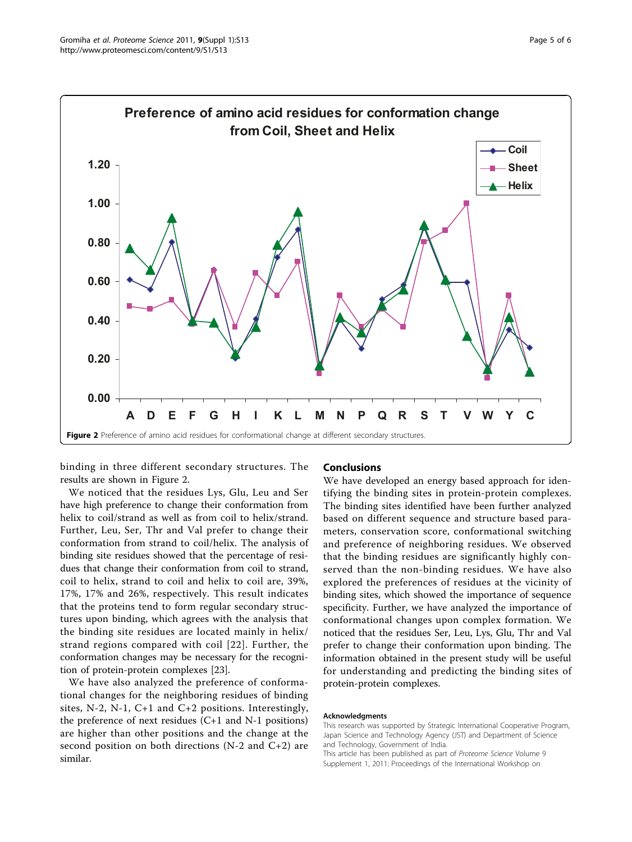

binding in three different secondary structures. The results are shown in Figure 2.

We noticed that the residues Lys, Glu, Leu and Ser have high preference to change their conformation from helix to coil/strand as well as from coil to helix/strand. Further, Leu, Ser, Thr and Val prefer to change their conformation from strand to coil/helix. The analysis of binding site residues showed that the percentage of residues that change their conformation from coil to strand, coil to helix, strand to coil and helix to coil are, 39%, 17%, 17% and 26%, respectively. This result indicates that the proteins tend to form regular secondary structures upon binding, which agrees with the analysis that the binding site residues are located mainly in helix/ strand regions compared with coil [[22\]](#page-5-0). Further, the conformation changes may be necessary for the recognition of protein-protein complexes [[23\]](#page-5-0).

We have also analyzed the preference of conformational changes for the neighboring residues of binding sites, N-2, N-1, C+1 and C+2 positions. Interestingly, the preference of next residues  $(C+1)$  and N-1 positions) are higher than other positions and the change at the second position on both directions ( $N-2$  and  $C+2$ ) are similar.

#### Conclusions

We have developed an energy based approach for identifying the binding sites in protein-protein complexes. The binding sites identified have been further analyzed based on different sequence and structure based parameters, conservation score, conformational switching and preference of neighboring residues. We observed that the binding residues are significantly highly conserved than the non-binding residues. We have also explored the preferences of residues at the vicinity of binding sites, which showed the importance of sequence specificity. Further, we have analyzed the importance of conformational changes upon complex formation. We noticed that the residues Ser, Leu, Lys, Glu, Thr and Val prefer to change their conformation upon binding. The information obtained in the present study will be useful for understanding and predicting the binding sites of protein-protein complexes.

#### Acknowledgments

This research was supported by Strategic International Cooperative Program, Japan Science and Technology Agency (JST) and Department of Science and Technology, Government of India.

This article has been published as part of Proteome Science Volume 9 Supplement 1, 2011: Proceedings of the International Workshop on